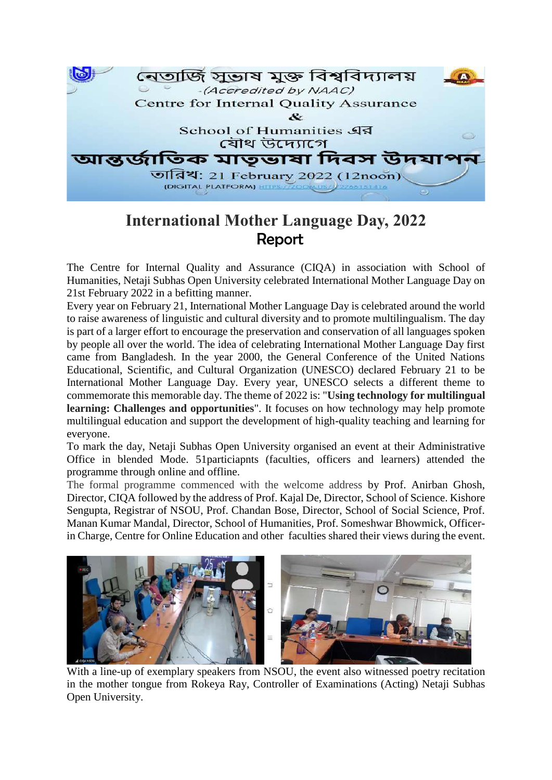

## **International Mother Language Day, 2022** Report

The Centre for Internal Quality and Assurance (CIQA) in association with School of Humanities, Netaji Subhas Open University celebrated International Mother Language Day on 21st February 2022 in a befitting manner.

Every year on February 21, International Mother Language Day is celebrated around the world to raise awareness of linguistic and cultural diversity and to promote multilingualism. The day is part of a larger effort to encourage the preservation and conservation of all languages spoken by people all over the world. The idea of celebrating International Mother Language Day first came from Bangladesh. In the year 2000, the General Conference of the United Nations Educational, Scientific, and Cultural Organization (UNESCO) declared February 21 to be International Mother Language Day. Every year, UNESCO selects a different theme to commemorate this memorable day. The theme of 2022 is: "**Using technology for multilingual learning: Challenges and opportunities**". It focuses on how technology may help promote multilingual education and support the development of high-quality teaching and learning for everyone.

To mark the day, Netaji Subhas Open University organised an event at their Administrative Office in blended Mode. 51particiapnts (faculties, officers and learners) attended the programme through online and offline.

The formal programme commenced with the welcome address by Prof. Anirban Ghosh, Director, CIQA followed by the address of Prof. Kajal De, Director, School of Science. Kishore Sengupta, Registrar of NSOU, Prof. Chandan Bose, Director, School of Social Science, Prof. Manan Kumar Mandal, Director, School of Humanities, Prof. Someshwar Bhowmick, Officerin Charge, Centre for Online Education and other faculties shared their views during the event.



With a line-up of exemplary speakers from NSOU, the event also witnessed poetry recitation in the mother tongue from Rokeya Ray, Controller of Examinations (Acting) Netaji Subhas Open University.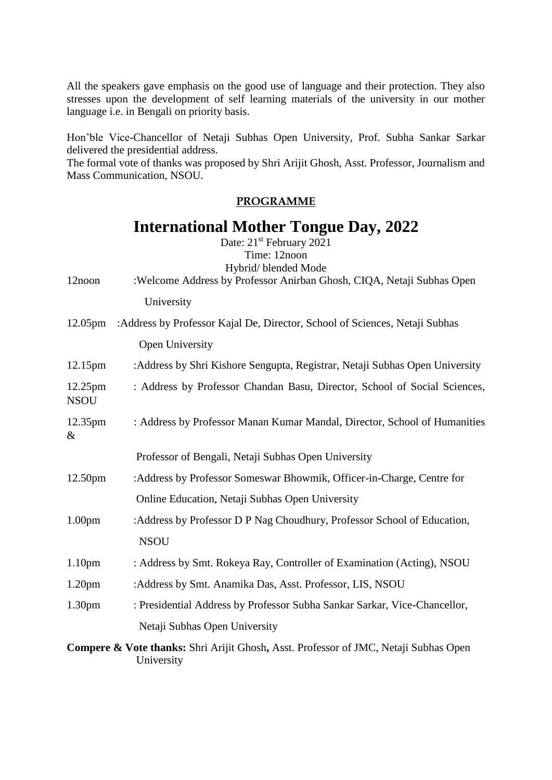All the speakers gave emphasis on the good use of language and their protection. They also stresses upon the development of self learning materials of the university in our mother language i.e. in Bengali on priority basis.

Hon'ble Vice-Chancellor of Netaji Subhas Open University, Prof. Subha Sankar Sarkar delivered the presidential address.

The formal vote of thanks was proposed by Shri Arijit Ghosh, Asst. Professor, Journalism and Mass Communication, NSOU.

## **PROGRAMME**

## **International Mother Tongue Day, 2022**

Date: 21<sup>st</sup> February 2021 Time: 12noon

| 12noon                 | Hybrid/ blended Mode<br>:Welcome Address by Professor Anirban Ghosh, CIQA, Netaji Subhas Open      |
|------------------------|----------------------------------------------------------------------------------------------------|
|                        | University                                                                                         |
| 12.05 <sub>pm</sub>    | :Address by Professor Kajal De, Director, School of Sciences, Netaji Subhas                        |
|                        | Open University                                                                                    |
| 12.15 <sub>pm</sub>    | :Address by Shri Kishore Sengupta, Registrar, Netaji Subhas Open University                        |
| 12.25pm<br><b>NSOU</b> | : Address by Professor Chandan Basu, Director, School of Social Sciences,                          |
| 12.35pm<br>&           | : Address by Professor Manan Kumar Mandal, Director, School of Humanities                          |
|                        | Professor of Bengali, Netaji Subhas Open University                                                |
| 12.50pm                | :Address by Professor Someswar Bhowmik, Officer-in-Charge, Centre for                              |
|                        | Online Education, Netaji Subhas Open University                                                    |
| 1.00 <sub>pm</sub>     | :Address by Professor D P Nag Choudhury, Professor School of Education,                            |
|                        | <b>NSOU</b>                                                                                        |
| 1.10 <sub>pm</sub>     | : Address by Smt. Rokeya Ray, Controller of Examination (Acting), NSOU                             |
| 1.20 <sub>pm</sub>     | :Address by Smt. Anamika Das, Asst. Professor, LIS, NSOU                                           |
| 1.30 <sub>pm</sub>     | : Presidential Address by Professor Subha Sankar Sarkar, Vice-Chancellor,                          |
|                        | Netaji Subhas Open University                                                                      |
|                        | Compere & Vote thanks: Shri Arijit Ghosh, Asst. Professor of JMC, Netaji Subhas Open<br>University |